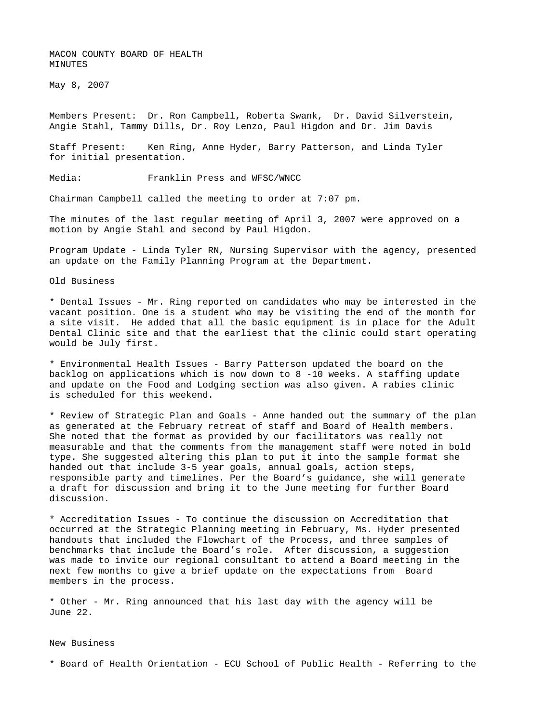MACON COUNTY BOARD OF HEALTH MINUTES

May 8, 2007

Members Present: Dr. Ron Campbell, Roberta Swank, Dr. David Silverstein, Angie Stahl, Tammy Dills, Dr. Roy Lenzo, Paul Higdon and Dr. Jim Davis

Staff Present: Ken Ring, Anne Hyder, Barry Patterson, and Linda Tyler for initial presentation.

Media: Franklin Press and WFSC/WNCC

Chairman Campbell called the meeting to order at 7:07 pm.

The minutes of the last regular meeting of April 3, 2007 were approved on a motion by Angie Stahl and second by Paul Higdon.

Program Update - Linda Tyler RN, Nursing Supervisor with the agency, presented an update on the Family Planning Program at the Department.

Old Business

\* Dental Issues - Mr. Ring reported on candidates who may be interested in the vacant position. One is a student who may be visiting the end of the month for a site visit. He added that all the basic equipment is in place for the Adult Dental Clinic site and that the earliest that the clinic could start operating would be July first.

\* Environmental Health Issues - Barry Patterson updated the board on the backlog on applications which is now down to 8 -10 weeks. A staffing update and update on the Food and Lodging section was also given. A rabies clinic is scheduled for this weekend.

\* Review of Strategic Plan and Goals - Anne handed out the summary of the plan as generated at the February retreat of staff and Board of Health members. She noted that the format as provided by our facilitators was really not measurable and that the comments from the management staff were noted in bold type. She suggested altering this plan to put it into the sample format she handed out that include 3-5 year goals, annual goals, action steps, responsible party and timelines. Per the Board's guidance, she will generate a draft for discussion and bring it to the June meeting for further Board discussion.

\* Accreditation Issues - To continue the discussion on Accreditation that occurred at the Strategic Planning meeting in February, Ms. Hyder presented handouts that included the Flowchart of the Process, and three samples of benchmarks that include the Board's role. After discussion, a suggestion was made to invite our regional consultant to attend a Board meeting in the next few months to give a brief update on the expectations from Board members in the process.

\* Other - Mr. Ring announced that his last day with the agency will be June 22.

## New Business

\* Board of Health Orientation - ECU School of Public Health - Referring to the